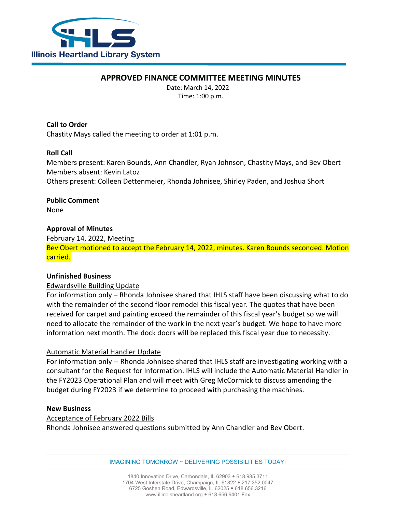

## **APPROVED FINANCE COMMITTEE MEETING MINUTES**

Date: March 14, 2022 Time: 1:00 p.m.

**Call to Order** Chastity Mays called the meeting to order at 1:01 p.m.

## **Roll Call**

Members present: Karen Bounds, Ann Chandler, Ryan Johnson, Chastity Mays, and Bev Obert Members absent: Kevin Latoz Others present: Colleen Dettenmeier, Rhonda Johnisee, Shirley Paden, and Joshua Short

**Public Comment** None

## **Approval of Minutes**

February 14, 2022, Meeting

Bev Obert motioned to accept the February 14, 2022, minutes. Karen Bounds seconded. Motion carried.

### **Unfinished Business**

### Edwardsville Building Update

For information only – Rhonda Johnisee shared that IHLS staff have been discussing what to do with the remainder of the second floor remodel this fiscal year. The quotes that have been received for carpet and painting exceed the remainder of this fiscal year's budget so we will need to allocate the remainder of the work in the next year's budget. We hope to have more information next month. The dock doors will be replaced this fiscal year due to necessity.

# Automatic Material Handler Update

For information only -- Rhonda Johnisee shared that IHLS staff are investigating working with a consultant for the Request for Information. IHLS will include the Automatic Material Handler in the FY2023 Operational Plan and will meet with Greg McCormick to discuss amending the budget during FY2023 if we determine to proceed with purchasing the machines.

### **New Business**

Acceptance of February 2022 Bills Rhonda Johnisee answered questions submitted by Ann Chandler and Bev Obert.

IMAGINING TOMORROW ~ DELIVERING POSSIBILITIES TODAY!